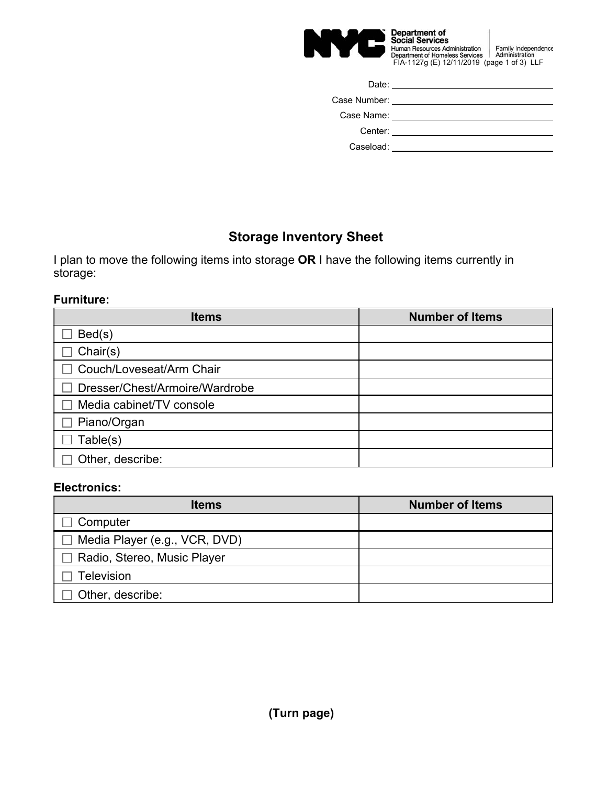

| Date:                            |  |
|----------------------------------|--|
| Case Number: National State Case |  |
|                                  |  |
| Center:                          |  |
| Caseload:                        |  |

# **Storage Inventory Sheet**

I plan to move the following items into storage **OR** I have the following items currently in storage:

### **Furniture:**

| <b>Items</b>                   | <b>Number of Items</b> |
|--------------------------------|------------------------|
| Bed(s)                         |                        |
| Chair(s)                       |                        |
| Couch/Loveseat/Arm Chair       |                        |
| Dresser/Chest/Armoire/Wardrobe |                        |
| Media cabinet/TV console       |                        |
| Piano/Organ                    |                        |
| Table(s)                       |                        |
| Other, describe:               |                        |

## **Electronics:**

| <b>Items</b>                  | <b>Number of Items</b> |  |
|-------------------------------|------------------------|--|
| Computer                      |                        |  |
| Media Player (e.g., VCR, DVD) |                        |  |
| Radio, Stereo, Music Player   |                        |  |
| <b>Television</b>             |                        |  |
| Other, describe:              |                        |  |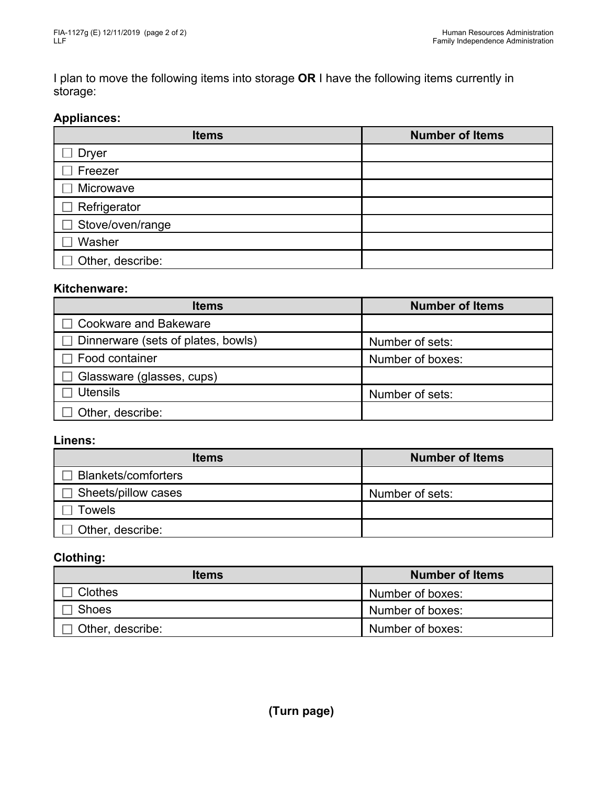I plan to move the following items into storage **OR** I have the following items currently in storage:

### **Appliances:**

| <b>Items</b>     | <b>Number of Items</b> |
|------------------|------------------------|
| <b>Dryer</b>     |                        |
| Freezer          |                        |
| Microwave        |                        |
| Refrigerator     |                        |
| Stove/oven/range |                        |
| Washer           |                        |
| Other, describe: |                        |

### **Kitchenware:**

| <b>Items</b>                       | <b>Number of Items</b> |
|------------------------------------|------------------------|
| Cookware and Bakeware              |                        |
| Dinnerware (sets of plates, bowls) | Number of sets:        |
| Food container                     | Number of boxes:       |
| Glassware (glasses, cups)          |                        |
| <b>Utensils</b>                    | Number of sets:        |
| Other, describe:                   |                        |

#### **Linens:**

| <b>Items</b>               | <b>Number of Items</b> |  |
|----------------------------|------------------------|--|
| <b>Blankets/comforters</b> |                        |  |
| Sheets/pillow cases        | Number of sets:        |  |
| Towels                     |                        |  |
| Other, describe:           |                        |  |

# **Clothing:**

| <b>Items</b>     | <b>Number of Items</b> |
|------------------|------------------------|
| <b>Clothes</b>   | Number of boxes:       |
| <b>Shoes</b>     | Number of boxes:       |
| Other, describe: | Number of boxes:       |